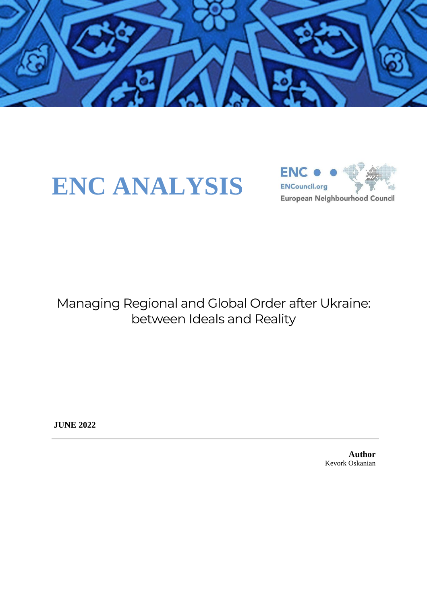

# **ENC ANALYSIS**



Managing Regional and Global Order after Ukraine: between Ideals and Reality

**JUNE 2022**

**Author** Kevork Oskanian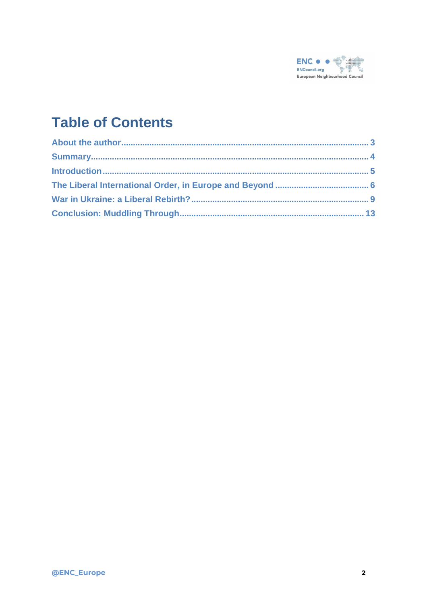

## **Table of Contents**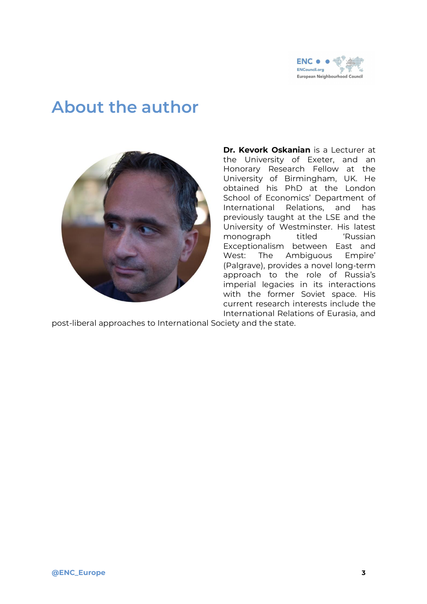

## <span id="page-2-0"></span>**About the author**



**Dr. Kevork Oskanian** is a Lecturer at the University of Exeter, and an Honorary Research Fellow at the University of Birmingham, UK. He obtained his PhD at the London School of Economics' Department of International Relations, and has previously taught at the LSE and the University of Westminster. His latest monograph titled 'Russian Exceptionalism between East and West: The Ambiguous Empire' (Palgrave), provides a novel long-term approach to the role of Russia's imperial legacies in its interactions with the former Soviet space. His current research interests include the International Relations of Eurasia, and

post-liberal approaches to International Society and the state.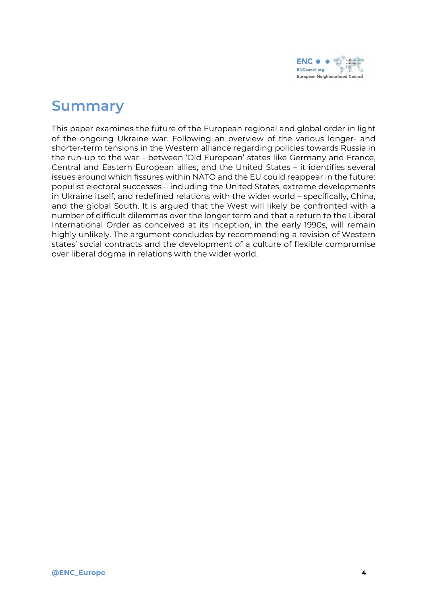

#### <span id="page-3-0"></span>**Summary**

This paper examines the future of the European regional and global order in light of the ongoing Ukraine war. Following an overview of the various longer- and shorter-term tensions in the Western alliance regarding policies towards Russia in the run-up to the war – between 'Old European' states like Germany and France, Central and Eastern European allies, and the United States – it identifies several issues around which fissures within NATO and the EU could reappear in the future: populist electoral successes – including the United States, extreme developments in Ukraine itself, and redefined relations with the wider world – specifically, China, and the global South. It is argued that the West will likely be confronted with a number of difficult dilemmas over the longer term and that a return to the Liberal International Order as conceived at its inception, in the early 1990s, will remain highly unlikely. The argument concludes by recommending a revision of Western states' social contracts and the development of a culture of flexible compromise over liberal dogma in relations with the wider world.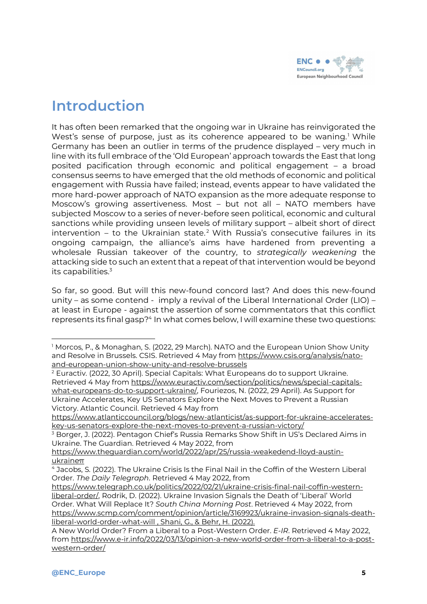

#### <span id="page-4-0"></span>**Introduction**

It has often been remarked that the ongoing war in Ukraine has reinvigorated the West's sense of purpose, just as its coherence appeared to be waning.<sup>1</sup> While Germany has been an outlier in terms of the prudence displayed – very much in line with its full embrace of the 'Old European' approach towards the East that long posited pacification through economic and political engagement – a broad consensus seems to have emerged that the old methods of economic and political engagement with Russia have failed; instead, events appear to have validated the more hard-power approach of NATO expansion as the more adequate response to Moscow's growing assertiveness. Most – but not all – NATO members have subjected Moscow to a series of never-before seen political, economic and cultural sanctions while providing unseen levels of military support – albeit short of direct intervention – to the Ukrainian state.<sup>2</sup> With Russia's consecutive failures in its ongoing campaign, the alliance's aims have hardened from preventing a wholesale Russian takeover of the country, to *strategically weakening* the attacking side to such an extent that a repeat of that intervention would be beyond its capabilities.<sup>3</sup>

So far, so good. But will this new-found concord last? And does this new-found unity – as some contend - imply a revival of the Liberal International Order (LIO) – at least in Europe - against the assertion of some commentators that this conflict represents its final gasp?<sup>4</sup> In what comes below, I will examine these two questions:

<sup>&</sup>lt;sup>1</sup> Morcos, P., & Monaghan, S. (2022, 29 March). NATO and the European Union Show Unity and Resolve in Brussels. CSIS. Retrieved 4 May from [https://www.csis.org/analysis/nato](https://www.csis.org/analysis/nato-and-european-union-show-unity-and-resolve-brussels)[and-european-union-show-unity-and-resolve-brussels](https://www.csis.org/analysis/nato-and-european-union-show-unity-and-resolve-brussels)

<sup>2</sup> Euractiv. (2022, 30 April). Special Capitals: What Europeans do to support Ukraine. Retrieved 4 May from [https://www.euractiv.com/section/politics/news/special-capitals](https://www.euractiv.com/section/politics/news/special-capitals-what-europeans-do-to-support-ukraine/)[what-europeans-do-to-support-ukraine/,](https://www.euractiv.com/section/politics/news/special-capitals-what-europeans-do-to-support-ukraine/) Fouriezos, N. (2022, 29 April). As Support for Ukraine Accelerates, Key US Senators Explore the Next Moves to Prevent a Russian Victory. Atlantic Council. Retrieved 4 May from

[https://www.atlanticcouncil.org/blogs/new-atlanticist/as-support-for-ukraine-accelerates](https://www.atlanticcouncil.org/blogs/new-atlanticist/as-support-for-ukraine-accelerates-key-us-senators-explore-the-next-moves-to-prevent-a-russian-victory/)[key-us-senators-explore-the-next-moves-to-prevent-a-russian-victory/](https://www.atlanticcouncil.org/blogs/new-atlanticist/as-support-for-ukraine-accelerates-key-us-senators-explore-the-next-moves-to-prevent-a-russian-victory/)

<sup>&</sup>lt;sup>3</sup> Borger, J. (2022). Pentagon Chief's Russia Remarks Show Shift in US's Declared Aims in Ukraine. The Guardian. Retrieved 4 May 2022, from

[https://www.theguardian.com/world/2022/apr/25/russia-weakedend-lloyd-austin](https://www.theguardian.com/world/2022/apr/25/russia-weakedend-lloyd-austin-ukraineπ)[ukraineπ](https://www.theguardian.com/world/2022/apr/25/russia-weakedend-lloyd-austin-ukraineπ)

<sup>4</sup> Jacobs, S. (2022). The Ukraine Crisis Is the Final Nail in the Coffin of the Western Liberal Order. *The Daily Telegraph*. Retrieved 4 May 2022, from

[https://www.telegraph.co.uk/politics/2022/02/21/ukraine-crisis-final-nail-coffin-western](https://www.telegraph.co.uk/politics/2022/02/21/ukraine-crisis-final-nail-coffin-western-liberal-order/)[liberal-order/,](https://www.telegraph.co.uk/politics/2022/02/21/ukraine-crisis-final-nail-coffin-western-liberal-order/) Rodrik, D. (2022). Ukraine Invasion Signals the Death of 'Liberal' World Order. What Will Replace It? *South China Morning Post*. Retrieved 4 May 2022, from [https://www.scmp.com/comment/opinion/article/3169923/ukraine-invasion-signals-death](https://www.scmp.com/comment/opinion/article/3169923/ukraine-invasion-signals-death-liberal-world-order-what-will%20,%20Shani,%20G.,%20&%20Behr,%20H.%20(2022).%20A%20New%20World%20Order?%20From%20a%20Liberal%20to%20a%20Post-Western%20Order.%20E-IR.%20Retrieved%204%20May%202022,%20from%20https://www.e-ir.info/2022/03/13/opinion-a-new-world-order-from-a-liberal-to-a-post-western-order/)[liberal-world-order-what-will](https://www.scmp.com/comment/opinion/article/3169923/ukraine-invasion-signals-death-liberal-world-order-what-will%20,%20Shani,%20G.,%20&%20Behr,%20H.%20(2022).%20A%20New%20World%20Order?%20From%20a%20Liberal%20to%20a%20Post-Western%20Order.%20E-IR.%20Retrieved%204%20May%202022,%20from%20https://www.e-ir.info/2022/03/13/opinion-a-new-world-order-from-a-liberal-to-a-post-western-order/) , Shani, G., & Behr, H. (2022).

A New World Order? From a Liberal to a Post-Western Order. *E-IR*. Retrieved 4 May 2022, from [https://www.e-ir.info/2022/03/13/opinion-a-new-world-order-from-a-liberal-to-a-post](https://www.e-ir.info/2022/03/13/opinion-a-new-world-order-from-a-liberal-to-a-post-western-order/)[western-order/](https://www.e-ir.info/2022/03/13/opinion-a-new-world-order-from-a-liberal-to-a-post-western-order/)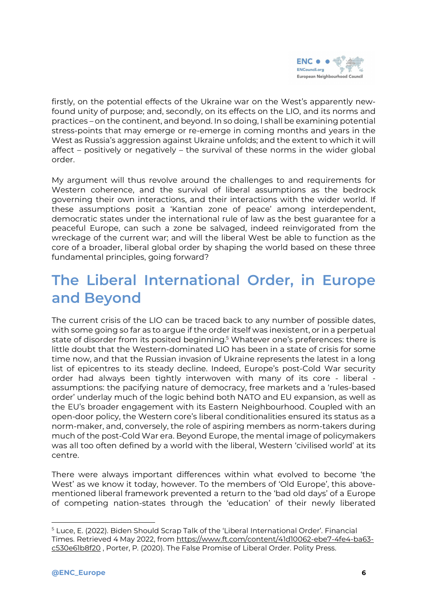

firstly, on the potential effects of the Ukraine war on the West's apparently newfound unity of purpose; and, secondly, on its effects on the LIO, and its norms and practices – on the continent, and beyond. In so doing, I shall be examining potential stress-points that may emerge or re-emerge in coming months and years in the West as Russia's aggression against Ukraine unfolds; and the extent to which it will affect – positively or negatively – the survival of these norms in the wider global order.

My argument will thus revolve around the challenges to and requirements for Western coherence, and the survival of liberal assumptions as the bedrock governing their own interactions, and their interactions with the wider world. If these assumptions posit a 'Kantian zone of peace' among interdependent, democratic states under the international rule of law as the best guarantee for a peaceful Europe, can such a zone be salvaged, indeed reinvigorated from the wreckage of the current war; and will the liberal West be able to function as the core of a broader, liberal global order by shaping the world based on these three fundamental principles, going forward?

### <span id="page-5-0"></span>**The Liberal International Order, in Europe and Beyond**

The current crisis of the LIO can be traced back to any number of possible dates, with some going so far as to argue if the order itself was inexistent, or in a perpetual state of disorder from its posited beginning.<sup>5</sup> Whatever one's preferences: there is little doubt that the Western-dominated LIO has been in a state of crisis for some time now, and that the Russian invasion of Ukraine represents the latest in a long list of epicentres to its steady decline. Indeed, Europe's post-Cold War security order had always been tightly interwoven with many of its core - liberal assumptions: the pacifying nature of democracy, free markets and a 'rules-based order' underlay much of the logic behind both NATO and EU expansion, as well as the EU's broader engagement with its Eastern Neighbourhood. Coupled with an open-door policy, the Western core's liberal conditionalities ensured its status as a norm-maker, and, conversely, the role of aspiring members as norm-takers during much of the post-Cold War era. Beyond Europe, the mental image of policymakers was all too often defined by a world with the liberal, Western 'civilised world' at its centre.

There were always important differences within what evolved to become 'the West' as we know it today, however. To the members of 'Old Europe', this abovementioned liberal framework prevented a return to the 'bad old days' of a Europe of competing nation-states through the 'education' of their newly liberated

<sup>5</sup> Luce, E. (2022). Biden Should Scrap Talk of the 'Liberal International Order'. Financial Times. Retrieved 4 May 2022, from [https://www.ft.com/content/41d10062-ebe7-4fe4-ba63](https://www.ft.com/content/41d10062-ebe7-4fe4-ba63-c530e61b8f20) [c530e61b8f20](https://www.ft.com/content/41d10062-ebe7-4fe4-ba63-c530e61b8f20) , Porter, P. (2020). The False Promise of Liberal Order. Polity Press.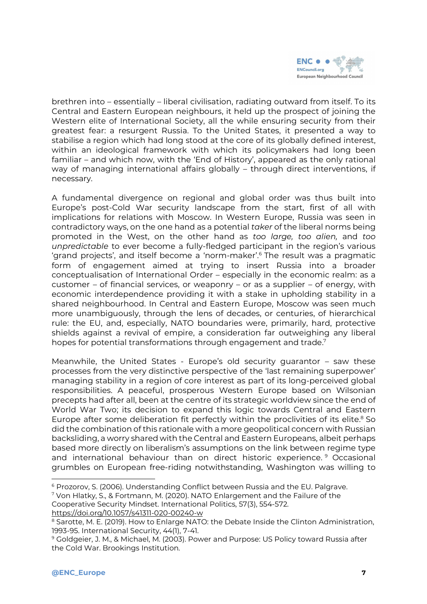

brethren into – essentially – liberal civilisation, radiating outward from itself. To its Central and Eastern European neighbours, it held up the prospect of joining the Western elite of International Society, all the while ensuring security from their greatest fear: a resurgent Russia. To the United States, it presented a way to stabilise a region which had long stood at the core of its globally defined interest, within an ideological framework with which its policymakers had long been familiar – and which now, with the 'End of History', appeared as the only rational way of managing international affairs globally – through direct interventions, if necessary.

A fundamental divergence on regional and global order was thus built into Europe's post-Cold War security landscape from the start, first of all with implications for relations with Moscow. In Western Europe, Russia was seen in contradictory ways, on the one hand as a potential *taker* of the liberal norms being promoted in the West, on the other hand as *too large, too alien,* and *too unpredictable* to ever become a fully-fledged participant in the region's various 'grand projects', and itself become a 'norm-maker'. <sup>6</sup> The result was a pragmatic form of engagement aimed at trying to insert Russia into a broader conceptualisation of International Order – especially in the economic realm: as a customer – of financial services, or weaponry – or as a supplier – of energy, with economic interdependence providing it with a stake in upholding stability in a shared neighbourhood. In Central and Eastern Europe, Moscow was seen much more unambiguously, through the lens of decades, or centuries, of hierarchical rule: the EU, and, especially, NATO boundaries were, primarily, hard, protective shields against a revival of empire, a consideration far outweighing any liberal hopes for potential transformations through engagement and trade.<sup>7</sup>

Meanwhile, the United States - Europe's old security guarantor – saw these processes from the very distinctive perspective of the 'last remaining superpower' managing stability in a region of core interest as part of its long-perceived global responsibilities. A peaceful, prosperous Western Europe based on Wilsonian precepts had after all, been at the centre of its strategic worldview since the end of World War Two; its decision to expand this logic towards Central and Eastern Europe after some deliberation fit perfectly within the proclivities of its elite.<sup>8</sup> So did the combination of this rationale with a more geopolitical concern with Russian backsliding, a worry shared with the Central and Eastern Europeans, albeit perhaps based more directly on liberalism's assumptions on the link between regime type and international behaviour than on direct historic experience. <sup>9</sup> Occasional grumbles on European free-riding notwithstanding, Washington was willing to

<sup>7</sup> Von Hlatky, S., & Fortmann, M. (2020). NATO Enlargement and the Failure of the Cooperative Security Mindset. International Politics, 57(3), 554-572.

<https://doi.org/10.1057/s41311-020-00240-w>

<sup>6</sup> Prozorov, S. (2006). Understanding Conflict between Russia and the EU. Palgrave.

<sup>8</sup> Sarotte, M. E. (2019). How to Enlarge NATO: the Debate Inside the Clinton Administration, 1993-95. International Security, 44(1), 7-41.

<sup>9</sup> Goldgeier, J. M., & Michael, M. (2003). Power and Purpose: US Policy toward Russia after the Cold War. Brookings Institution.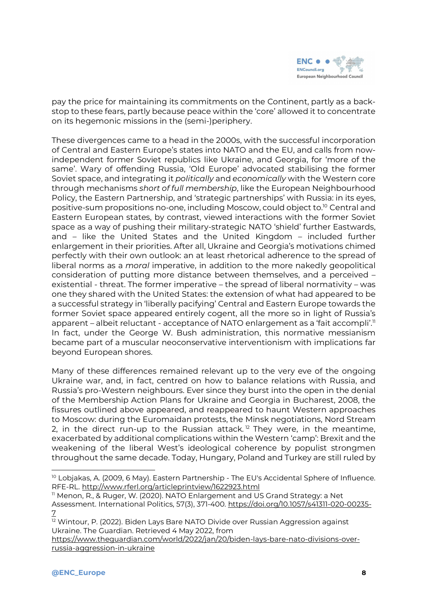

pay the price for maintaining its commitments on the Continent, partly as a backstop to these fears, partly because peace within the 'core' allowed it to concentrate on its hegemonic missions in the (semi-)periphery.

These divergences came to a head in the 2000s, with the successful incorporation of Central and Eastern Europe's states into NATO and the EU, and calls from nowindependent former Soviet republics like Ukraine, and Georgia, for 'more of the same'. Wary of offending Russia, 'Old Europe' advocated stabilising the former Soviet space, and integrating it *politically* and *economically* with the Western core through mechanisms *short of full membership*, like the European Neighbourhood Policy, the Eastern Partnership, and 'strategic partnerships' with Russia: in its eyes, positive-sum propositions no-one, including Moscow, could object to.<sup>10</sup> Central and Eastern European states, by contrast, viewed interactions with the former Soviet space as a way of pushing their military-strategic NATO 'shield' further Eastwards, and – like the United States and the United Kingdom – included further enlargement in their priorities. After all, Ukraine and Georgia's motivations chimed perfectly with their own outlook: an at least rhetorical adherence to the spread of liberal norms as a *moral* imperative, in addition to the more nakedly geopolitical consideration of putting more distance between themselves, and a perceived – existential - threat. The former imperative – the spread of liberal normativity – was one they shared with the United States: the extension of what had appeared to be a successful strategy in 'liberally pacifying' Central and Eastern Europe towards the former Soviet space appeared entirely cogent, all the more so in light of Russia's apparent – albeit reluctant - acceptance of NATO enlargement as a 'fait accompli'." In fact, under the George W. Bush administration, this normative messianism became part of a muscular neoconservative interventionism with implications far beyond European shores.

Many of these differences remained relevant up to the very eve of the ongoing Ukraine war, and, in fact, centred on how to balance relations with Russia, and Russia's pro-Western neighbours. Ever since they burst into the open in the denial of the Membership Action Plans for Ukraine and Georgia in Bucharest, 2008, the fissures outlined above appeared, and reappeared to haunt Western approaches to Moscow: during the Euromaidan protests, the Minsk negotiations, Nord Stream 2, in the direct run-up to the Russian attack.<sup>12</sup> They were, in the meantime, exacerbated by additional complications within the Western 'camp': Brexit and the weakening of the liberal West's ideological coherence by populist strongmen throughout the same decade. Today, Hungary, Poland and Turkey are still ruled by

<sup>&</sup>lt;sup>10</sup> Lobjakas, A. (2009, 6 May). Eastern Partnership - The EU's Accidental Sphere of Influence. RFE-RL. <http://www.rferl.org/articleprintview/1622923.html>

<sup>&</sup>lt;sup>11</sup> Menon, R., & Ruger, W. (2020). NATO Enlargement and US Grand Strategy: a Net Assessment. International Politics, 57(3), 371-400. [https://doi.org/10.1057/s41311-020-00235-](https://doi.org/10.1057/s41311-020-00235-7) [7](https://doi.org/10.1057/s41311-020-00235-7)

<sup>&</sup>lt;sup>12</sup> Wintour, P. (2022). Biden Lays Bare NATO Divide over Russian Aggression against Ukraine. The Guardian. Retrieved 4 May 2022, from

[https://www.theguardian.com/world/2022/jan/20/biden-lays-bare-nato-divisions-over](https://www.theguardian.com/world/2022/jan/20/biden-lays-bare-nato-divisions-over-russia-aggression-in-ukraine)[russia-aggression-in-ukraine](https://www.theguardian.com/world/2022/jan/20/biden-lays-bare-nato-divisions-over-russia-aggression-in-ukraine)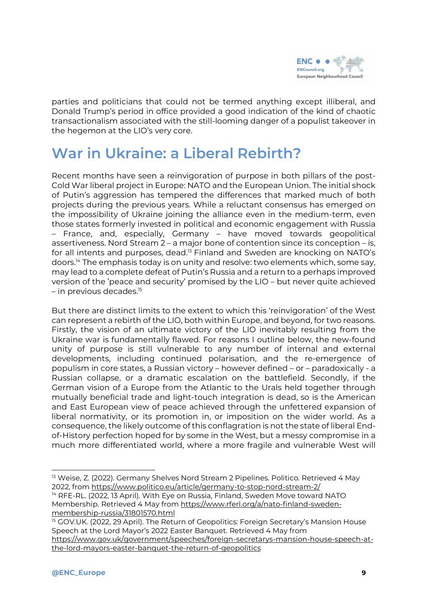

parties and politicians that could not be termed anything except illiberal, and Donald Trump's period in office provided a good indication of the kind of chaotic transactionalism associated with the still-looming danger of a populist takeover in the hegemon at the LIO's very core.

## <span id="page-8-0"></span>**War in Ukraine: a Liberal Rebirth?**

Recent months have seen a reinvigoration of purpose in both pillars of the post-Cold War liberal project in Europe: NATO and the European Union. The initial shock of Putin's aggression has tempered the differences that marked much of both projects during the previous years. While a reluctant consensus has emerged on the impossibility of Ukraine joining the alliance even in the medium-term, even those states formerly invested in political and economic engagement with Russia – France, and, especially, Germany – have moved towards geopolitical assertiveness. Nord Stream 2 – a major bone of contention since its conception – is, for all intents and purposes, dead.<sup>13</sup> Finland and Sweden are knocking on NATO's doors.<sup>14</sup> The emphasis today is on unity and resolve: two elements which, some say, may lead to a complete defeat of Putin's Russia and a return to a perhaps improved version of the 'peace and security' promised by the LIO – but never quite achieved  $-$  in previous decades.<sup>15</sup>

But there are distinct limits to the extent to which this 'reinvigoration' of the West can represent a rebirth of the LIO, both within Europe, and beyond, for two reasons. Firstly, the vision of an ultimate victory of the LIO inevitably resulting from the Ukraine war is fundamentally flawed. For reasons I outline below, the new-found unity of purpose is still vulnerable to any number of internal and external developments, including continued polarisation, and the re-emergence of populism in core states, a Russian victory – however defined – or – paradoxically - a Russian collapse, or a dramatic escalation on the battlefield. Secondly, if the German vision of a Europe from the Atlantic to the Urals held together through mutually beneficial trade and light-touch integration is dead, so is the American and East European view of peace achieved through the unfettered expansion of liberal normativity, or its promotion in, or imposition on the wider world. As a consequence, the likely outcome of this conflagration is not the state of liberal Endof-History perfection hoped for by some in the West, but a messy compromise in a much more differentiated world, where a more fragile and vulnerable West will

<sup>15</sup> GOV.UK. (2022, 29 April). The Return of Geopolitics: Foreign Secretary's Mansion House Speech at the Lord Mayor's 2022 Easter Banquet. Retrieved 4 May from [https://www.gov.uk/government/speeches/foreign-secretarys-mansion-house-speech-at](https://www.gov.uk/government/speeches/foreign-secretarys-mansion-house-speech-at-the-lord-mayors-easter-banquet-the-return-of-geopolitics)[the-lord-mayors-easter-banquet-the-return-of-geopolitics](https://www.gov.uk/government/speeches/foreign-secretarys-mansion-house-speech-at-the-lord-mayors-easter-banquet-the-return-of-geopolitics)

<sup>&</sup>lt;sup>13</sup> Weise, Z. (2022). Germany Shelves Nord Stream 2 Pipelines. Politico. Retrieved 4 May 2022, from <https://www.politico.eu/article/germany-to-stop-nord-stream-2/>

<sup>&</sup>lt;sup>14</sup> RFE-RL. (2022, 13 April). With Eye on Russia, Finland, Sweden Move toward NATO Membership. Retrieved 4 May from [https://www.rferl.org/a/nato-finland-sweden](https://www.rferl.org/a/nato-finland-sweden-membership-russia/31801570.html)[membership-russia/31801570.html](https://www.rferl.org/a/nato-finland-sweden-membership-russia/31801570.html)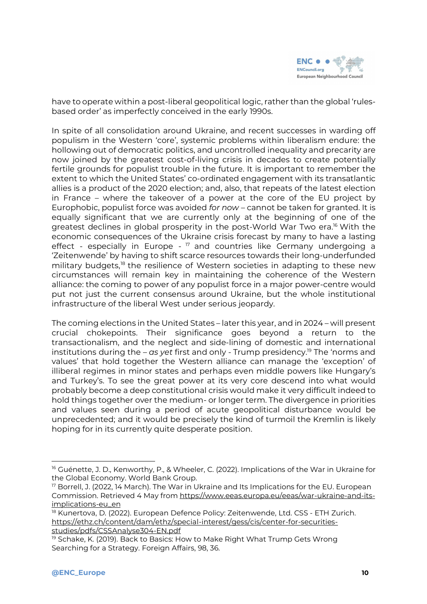

have to operate within a post-liberal geopolitical logic, rather than the global 'rulesbased order' as imperfectly conceived in the early 1990s.

In spite of all consolidation around Ukraine, and recent successes in warding off populism in the Western 'core', systemic problems within liberalism endure: the hollowing out of democratic politics, and uncontrolled inequality and precarity are now joined by the greatest cost-of-living crisis in decades to create potentially fertile grounds for populist trouble in the future. It is important to remember the extent to which the United States' co-ordinated engagement with its transatlantic allies is a product of the 2020 election; and, also, that repeats of the latest election in France – where the takeover of a power at the core of the EU project by Europhobic, populist force was avoided *for now* – cannot be taken for granted. It is equally significant that we are currently only at the beginning of one of the greatest declines in global prosperity in the post-World War Two era.<sup>16</sup> With the economic consequences of the Ukraine crisis forecast by many to have a lasting effect - especially in Europe - <sup>17</sup> and countries like Germany undergoing a 'Zeitenwende' by having to shift scarce resources towards their long-underfunded military budgets,<sup>18</sup> the resilience of Western societies in adapting to these new circumstances will remain key in maintaining the coherence of the Western alliance: the coming to power of any populist force in a major power-centre would put not just the current consensus around Ukraine, but the whole institutional infrastructure of the liberal West under serious jeopardy.

The coming elections in the United States – later this year, and in 2024 – will present crucial chokepoints. Their significance goes beyond a return to the transactionalism, and the neglect and side-lining of domestic and international institutions during the – *as yet* first and only - Trump presidency.<sup>19</sup> The 'norms and values' that hold together the Western alliance can manage the 'exception' of illiberal regimes in minor states and perhaps even middle powers like Hungary's and Turkey's. To see the great power at its very core descend into what would probably become a deep constitutional crisis would make it very difficult indeed to hold things together over the medium- or longer term. The divergence in priorities and values seen during a period of acute geopolitical disturbance would be unprecedented; and it would be precisely the kind of turmoil the Kremlin is likely hoping for in its currently quite desperate position.

<sup>&</sup>lt;sup>16</sup> Guénette, J. D., Kenworthy, P., & Wheeler, C. (2022). Implications of the War in Ukraine for the Global Economy. World Bank Group.

<sup>17</sup> Borrell, J. (2022, 14 March). The War in Ukraine and Its Implications for the EU. European Commission. Retrieved 4 May from [https://www.eeas.europa.eu/eeas/war-ukraine-and-its](https://www.eeas.europa.eu/eeas/war-ukraine-and-its-implications-eu_en)[implications-eu\\_en](https://www.eeas.europa.eu/eeas/war-ukraine-and-its-implications-eu_en)

<sup>&</sup>lt;sup>18</sup> Kunertova, D. (2022). European Defence Policy: Zeitenwende, Ltd. CSS - ETH Zurich. [https://ethz.ch/content/dam/ethz/special-interest/gess/cis/center-for-securities](https://ethz.ch/content/dam/ethz/special-interest/gess/cis/center-for-securities-studies/pdfs/CSSAnalyse304-EN.pdf)[studies/pdfs/CSSAnalyse304-EN.pdf](https://ethz.ch/content/dam/ethz/special-interest/gess/cis/center-for-securities-studies/pdfs/CSSAnalyse304-EN.pdf)

<sup>&</sup>lt;sup>19</sup> Schake, K. (2019). Back to Basics: How to Make Right What Trump Gets Wrong Searching for a Strategy. Foreign Affairs, 98, 36.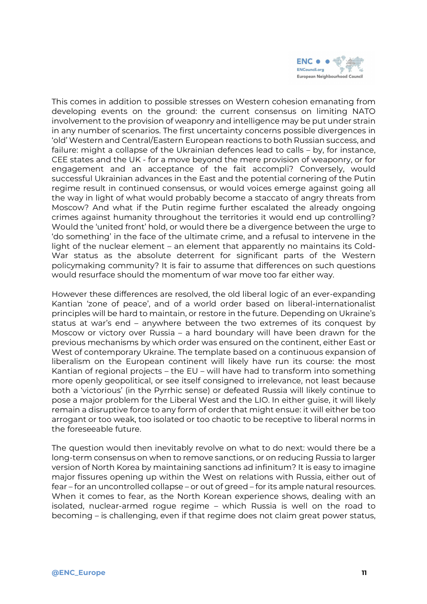

This comes in addition to possible stresses on Western cohesion emanating from developing events on the ground: the current consensus on limiting NATO involvement to the provision of weaponry and intelligence may be put under strain in any number of scenarios. The first uncertainty concerns possible divergences in 'old' Western and Central/Eastern European reactions to both Russian success, and failure: might a collapse of the Ukrainian defences lead to calls – by, for instance, CEE states and the UK - for a move beyond the mere provision of weaponry, or for engagement and an acceptance of the fait accompli? Conversely, would successful Ukrainian advances in the East and the potential cornering of the Putin regime result in continued consensus, or would voices emerge against going all the way in light of what would probably become a staccato of angry threats from Moscow? And what if the Putin regime further escalated the already ongoing crimes against humanity throughout the territories it would end up controlling? Would the 'united front' hold, or would there be a divergence between the urge to 'do something' in the face of the ultimate crime, and a refusal to intervene in the light of the nuclear element – an element that apparently no maintains its Cold-War status as the absolute deterrent for significant parts of the Western policymaking community? It is fair to assume that differences on such questions would resurface should the momentum of war move too far either way.

However these differences are resolved, the old liberal logic of an ever-expanding Kantian 'zone of peace', and of a world order based on liberal-internationalist principles will be hard to maintain, or restore in the future. Depending on Ukraine's status at war's end – anywhere between the two extremes of its conquest by Moscow or victory over Russia – a hard boundary will have been drawn for the previous mechanisms by which order was ensured on the continent, either East or West of contemporary Ukraine. The template based on a continuous expansion of liberalism on the European continent will likely have run its course: the most Kantian of regional projects – the EU – will have had to transform into something more openly geopolitical, or see itself consigned to irrelevance, not least because both a 'victorious' (in the Pyrrhic sense) or defeated Russia will likely continue to pose a major problem for the Liberal West and the LIO. In either guise, it will likely remain a disruptive force to any form of order that might ensue: it will either be too arrogant or too weak, too isolated or too chaotic to be receptive to liberal norms in the foreseeable future.

The question would then inevitably revolve on what to do next: would there be a long-term consensus on when to remove sanctions, or on reducing Russia to larger version of North Korea by maintaining sanctions ad infinitum? It is easy to imagine major fissures opening up within the West on relations with Russia, either out of fear – for an uncontrolled collapse – or out of greed – for its ample natural resources. When it comes to fear, as the North Korean experience shows, dealing with an isolated, nuclear-armed rogue regime – which Russia is well on the road to becoming – is challenging, even if that regime does not claim great power status,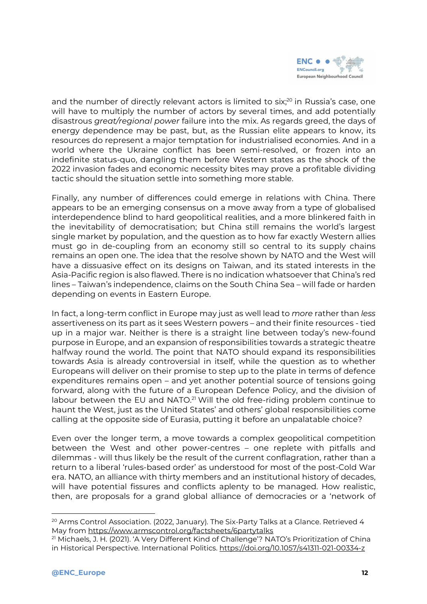

and the number of directly relevant actors is limited to six;<sup>20</sup> in Russia's case, one will have to multiply the number of actors by several times, and add potentially disastrous *great/regional power* failure into the mix. As regards greed, the days of energy dependence may be past, but, as the Russian elite appears to know, its resources do represent a major temptation for industrialised economies. And in a world where the Ukraine conflict has been semi-resolved, or frozen into an indefinite status-quo, dangling them before Western states as the shock of the 2022 invasion fades and economic necessity bites may prove a profitable dividing tactic should the situation settle into something more stable.

Finally, any number of differences could emerge in relations with China. There appears to be an emerging consensus on a move away from a type of globalised interdependence blind to hard geopolitical realities, and a more blinkered faith in the inevitability of democratisation; but China still remains the world's largest single market by population, and the question as to how far exactly Western allies must go in de-coupling from an economy still so central to its supply chains remains an open one. The idea that the resolve shown by NATO and the West will have a dissuasive effect on its designs on Taiwan, and its stated interests in the Asia-Pacific region is also flawed. There is no indication whatsoever that China's red lines – Taiwan's independence, claims on the South China Sea – will fade or harden depending on events in Eastern Europe.

In fact, a long-term conflict in Europe may just as well lead to *more* rather than *less* assertiveness on its part as it sees Western powers – and their finite resources - tied up in a major war. Neither is there is a straight line between today's new-found purpose in Europe, and an expansion of responsibilities towards a strategic theatre halfway round the world. The point that NATO should expand its responsibilities towards Asia is already controversial in itself, while the question as to whether Europeans will deliver on their promise to step up to the plate in terms of defence expenditures remains open – and yet another potential source of tensions going forward, along with the future of a European Defence Policy, and the division of labour between the EU and NATO.<sup>21</sup> Will the old free-riding problem continue to haunt the West, just as the United States' and others' global responsibilities come calling at the opposite side of Eurasia, putting it before an unpalatable choice?

Even over the longer term, a move towards a complex geopolitical competition between the West and other power-centres – one replete with pitfalls and dilemmas - will thus likely be the result of the current conflagration, rather than a return to a liberal 'rules-based order' as understood for most of the post-Cold War era. NATO, an alliance with thirty members and an institutional history of decades, will have potential fissures and conflicts aplenty to be managed. How realistic, then, are proposals for a grand global alliance of democracies or a 'network of

<sup>&</sup>lt;sup>20</sup> Arms Control Association. (2022, January). The Six-Party Talks at a Glance. Retrieved 4 May from <https://www.armscontrol.org/factsheets/6partytalks>

<sup>&</sup>lt;sup>21</sup> Michaels, J. H. (2021). 'A Very Different Kind of Challenge'? NATO's Prioritization of China in Historical Perspective. International Politics. <https://doi.org/10.1057/s41311-021-00334-z>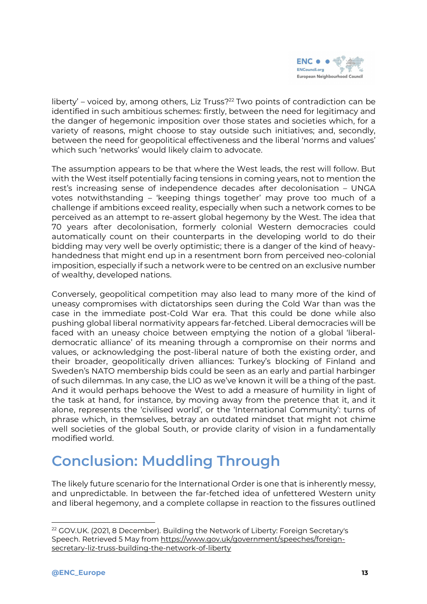

liberty' – voiced by, among others, Liz Truss? $22$  Two points of contradiction can be identified in such ambitious schemes: firstly, between the need for legitimacy and the danger of hegemonic imposition over those states and societies which, for a variety of reasons, might choose to stay outside such initiatives; and, secondly, between the need for geopolitical effectiveness and the liberal 'norms and values' which such 'networks' would likely claim to advocate.

The assumption appears to be that where the West leads, the rest will follow. But with the West itself potentially facing tensions in coming years, not to mention the rest's increasing sense of independence decades after decolonisation – UNGA votes notwithstanding – 'keeping things together' may prove too much of a challenge if ambitions exceed reality, especially when such a network comes to be perceived as an attempt to re-assert global hegemony by the West. The idea that 70 years after decolonisation, formerly colonial Western democracies could automatically count on their counterparts in the developing world to do their bidding may very well be overly optimistic; there is a danger of the kind of heavyhandedness that might end up in a resentment born from perceived neo-colonial imposition, especially if such a network were to be centred on an exclusive number of wealthy, developed nations.

Conversely, geopolitical competition may also lead to many more of the kind of uneasy compromises with dictatorships seen during the Cold War than was the case in the immediate post-Cold War era. That this could be done while also pushing global liberal normativity appears far-fetched. Liberal democracies will be faced with an uneasy choice between emptying the notion of a global 'liberaldemocratic alliance' of its meaning through a compromise on their norms and values, or acknowledging the post-liberal nature of both the existing order, and their broader, geopolitically driven alliances: Turkey's blocking of Finland and Sweden's NATO membership bids could be seen as an early and partial harbinger of such dilemmas. In any case, the LIO as we've known it will be a thing of the past. And it would perhaps behoove the West to add a measure of humility in light of the task at hand, for instance, by moving away from the pretence that it, and it alone, represents the 'civilised world', or the 'International Community': turns of phrase which, in themselves, betray an outdated mindset that might not chime well societies of the global South, or provide clarity of vision in a fundamentally modified world.

## <span id="page-12-0"></span>**Conclusion: Muddling Through**

The likely future scenario for the International Order is one that is inherently messy, and unpredictable. In between the far-fetched idea of unfettered Western unity and liberal hegemony, and a complete collapse in reaction to the fissures outlined

<sup>&</sup>lt;sup>22</sup> GOV.UK. (2021, 8 December). Building the Network of Liberty: Foreign Secretary's Speech. Retrieved 5 May from [https://www.gov.uk/government/speeches/foreign](https://www.gov.uk/government/speeches/foreign-secretary-liz-truss-building-the-network-of-liberty)[secretary-liz-truss-building-the-network-of-liberty](https://www.gov.uk/government/speeches/foreign-secretary-liz-truss-building-the-network-of-liberty)